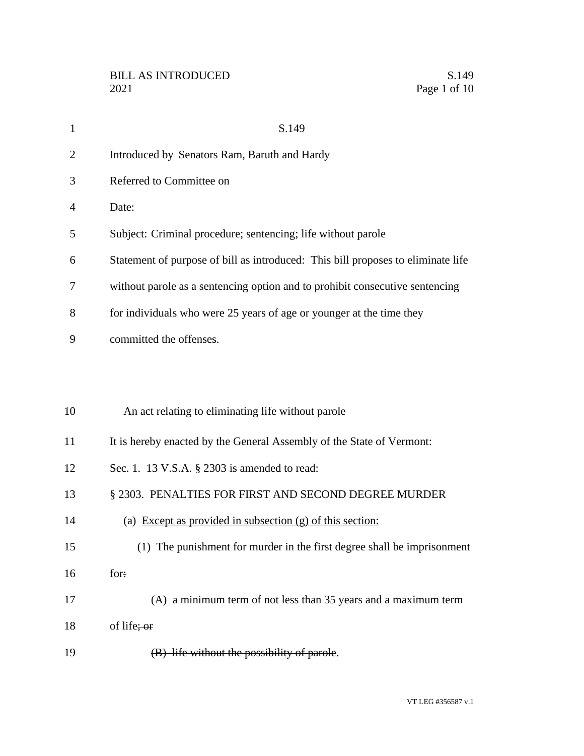| $\mathbf{1}$   | S.149                                                                            |
|----------------|----------------------------------------------------------------------------------|
| $\overline{2}$ | Introduced by Senators Ram, Baruth and Hardy                                     |
| 3              | Referred to Committee on                                                         |
| 4              | Date:                                                                            |
| 5              | Subject: Criminal procedure; sentencing; life without parole                     |
| 6              | Statement of purpose of bill as introduced: This bill proposes to eliminate life |
| 7              | without parole as a sentencing option and to prohibit consecutive sentencing     |
| 8              | for individuals who were 25 years of age or younger at the time they             |
| 9              | committed the offenses.                                                          |
|                |                                                                                  |
|                |                                                                                  |
| 10             | An act relating to eliminating life without parole                               |
| 11             | It is hereby enacted by the General Assembly of the State of Vermont:            |
| 12             | Sec. 1. 13 V.S.A. § 2303 is amended to read:                                     |
| 13             | § 2303. PENALTIES FOR FIRST AND SECOND DEGREE MURDER                             |
| 14             | (a) Except as provided in subsection $(g)$ of this section:                      |
| 15             | (1) The punishment for murder in the first degree shall be imprisonment          |
| 16             | for:                                                                             |
| 17             | $(A)$ a minimum term of not less than 35 years and a maximum term                |
| 18             | of life; or                                                                      |
| 19             | (B) life without the possibility of parole.                                      |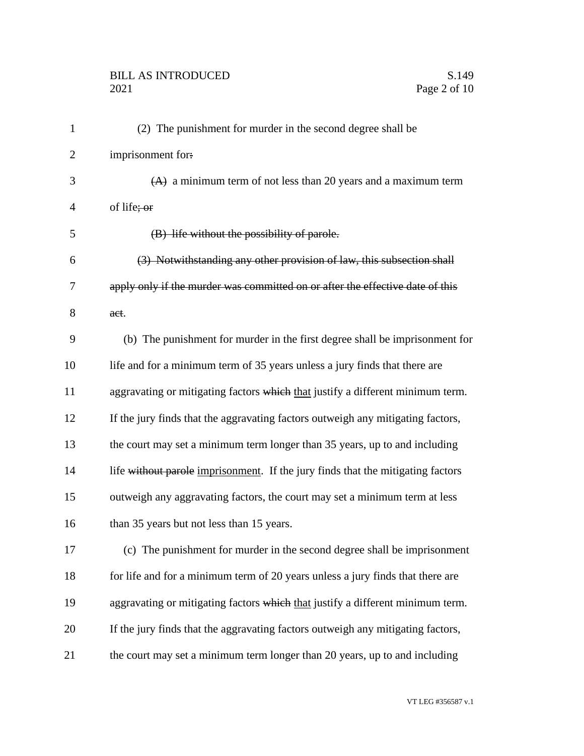## BILL AS INTRODUCED<br>2021 Page 2 of 10

| $\mathbf{1}$   | (2) The punishment for murder in the second degree shall be                     |
|----------------|---------------------------------------------------------------------------------|
| $\overline{2}$ | imprisonment for:                                                               |
| 3              | $(A)$ a minimum term of not less than 20 years and a maximum term               |
| $\overline{4}$ | of life; or                                                                     |
| 5              | (B) life without the possibility of parole.                                     |
| 6              | (3) Notwithstanding any other provision of law, this subsection shall           |
| 7              | apply only if the murder was committed on or after the effective date of this   |
| 8              | aet.                                                                            |
| 9              | (b) The punishment for murder in the first degree shall be imprisonment for     |
| 10             | life and for a minimum term of 35 years unless a jury finds that there are      |
| 11             | aggravating or mitigating factors which that justify a different minimum term.  |
| 12             | If the jury finds that the aggravating factors outweigh any mitigating factors, |
| 13             | the court may set a minimum term longer than 35 years, up to and including      |
| 14             | life without parole imprisonment. If the jury finds that the mitigating factors |
| 15             | outweigh any aggravating factors, the court may set a minimum term at less      |
| 16             | than 35 years but not less than 15 years.                                       |
| 17             | (c) The punishment for murder in the second degree shall be imprisonment        |
| 18             | for life and for a minimum term of 20 years unless a jury finds that there are  |
| 19             | aggravating or mitigating factors which that justify a different minimum term.  |
| 20             | If the jury finds that the aggravating factors outweigh any mitigating factors, |
| 21             | the court may set a minimum term longer than 20 years, up to and including      |
|                |                                                                                 |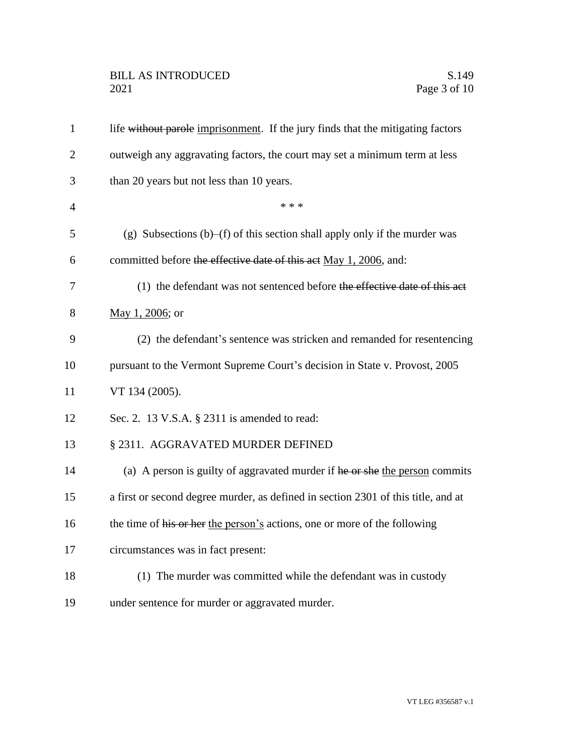## BILL AS INTRODUCED<br>2021 Page 3 of 10

| $\mathbf{1}$   | life without parole imprisonment. If the jury finds that the mitigating factors   |
|----------------|-----------------------------------------------------------------------------------|
| $\overline{2}$ | outweigh any aggravating factors, the court may set a minimum term at less        |
| 3              | than 20 years but not less than 10 years.                                         |
| $\overline{4}$ | * * *                                                                             |
| 5              | (g) Subsections (b)–(f) of this section shall apply only if the murder was        |
| 6              | committed before the effective date of this act May 1, 2006, and:                 |
| 7              | (1) the defendant was not sentenced before the effective date of this act         |
| 8              | May 1, 2006; or                                                                   |
| 9              | (2) the defendant's sentence was stricken and remanded for resentencing           |
| 10             | pursuant to the Vermont Supreme Court's decision in State v. Provost, 2005        |
| 11             | VT 134 (2005).                                                                    |
| 12             | Sec. 2. 13 V.S.A. § 2311 is amended to read:                                      |
| 13             | § 2311. AGGRAVATED MURDER DEFINED                                                 |
| 14             | (a) A person is guilty of aggravated murder if he or she the person commits       |
| 15             | a first or second degree murder, as defined in section 2301 of this title, and at |
| 16             | the time of his or her the person's actions, one or more of the following         |
| 17             | circumstances was in fact present:                                                |
| 18             | (1) The murder was committed while the defendant was in custody                   |
| 19             | under sentence for murder or aggravated murder.                                   |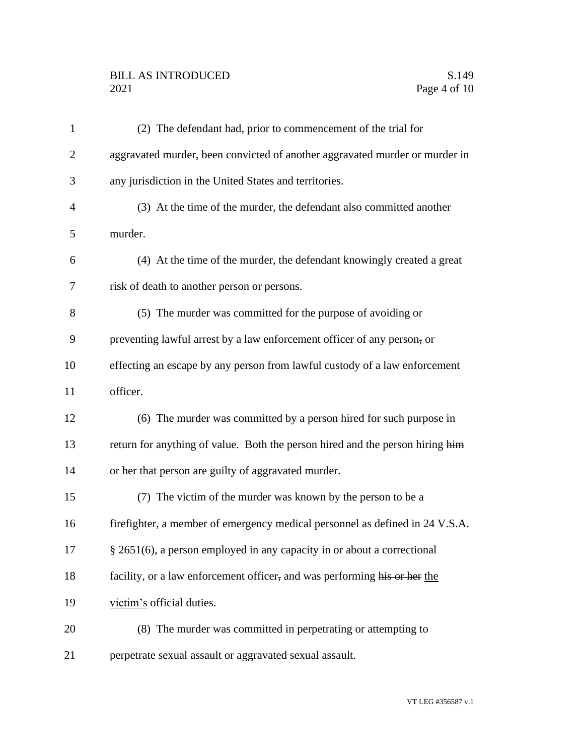## BILL AS INTRODUCED<br>2021 Page 4 of 10

| $\mathbf{1}$   | (2) The defendant had, prior to commencement of the trial for                 |
|----------------|-------------------------------------------------------------------------------|
| $\overline{2}$ | aggravated murder, been convicted of another aggravated murder or murder in   |
| 3              | any jurisdiction in the United States and territories.                        |
| 4              | (3) At the time of the murder, the defendant also committed another           |
| 5              | murder.                                                                       |
| 6              | (4) At the time of the murder, the defendant knowingly created a great        |
| 7              | risk of death to another person or persons.                                   |
| 8              | (5) The murder was committed for the purpose of avoiding or                   |
| 9              | preventing lawful arrest by a law enforcement officer of any person, or       |
| 10             | effecting an escape by any person from lawful custody of a law enforcement    |
| 11             | officer.                                                                      |
| 12             | (6) The murder was committed by a person hired for such purpose in            |
| 13             | return for anything of value. Both the person hired and the person hiring him |
| 14             | or her that person are guilty of aggravated murder.                           |
| 15             | (7) The victim of the murder was known by the person to be a                  |
| 16             | firefighter, a member of emergency medical personnel as defined in 24 V.S.A.  |
| 17             | § 2651(6), a person employed in any capacity in or about a correctional       |
| 18             | facility, or a law enforcement officer, and was performing his or her the     |
| 19             | victim's official duties.                                                     |
| 20             | (8) The murder was committed in perpetrating or attempting to                 |
| 21             | perpetrate sexual assault or aggravated sexual assault.                       |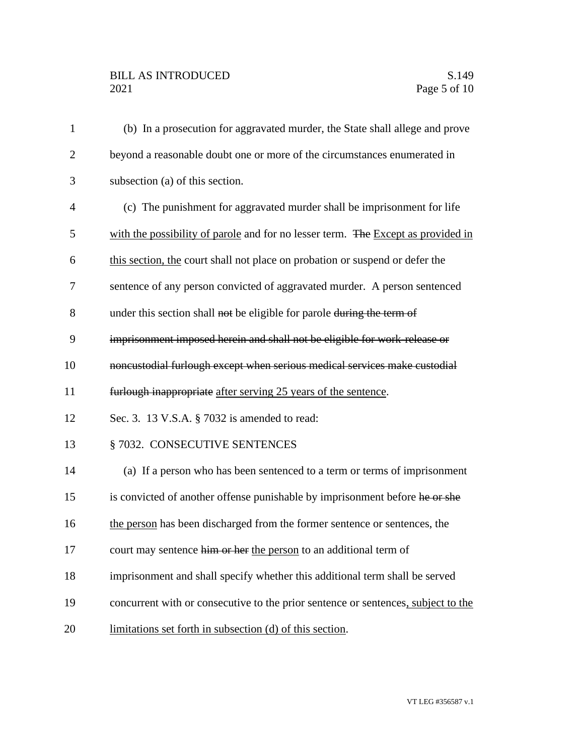| $\mathbf{1}$   | (b) In a prosecution for aggravated murder, the State shall allege and prove      |
|----------------|-----------------------------------------------------------------------------------|
| $\overline{2}$ | beyond a reasonable doubt one or more of the circumstances enumerated in          |
| 3              | subsection (a) of this section.                                                   |
| $\overline{4}$ | (c) The punishment for aggravated murder shall be imprisonment for life           |
| 5              | with the possibility of parole and for no lesser term. The Except as provided in  |
| 6              | this section, the court shall not place on probation or suspend or defer the      |
| 7              | sentence of any person convicted of aggravated murder. A person sentenced         |
| 8              | under this section shall not be eligible for parole during the term of            |
| 9              | imprisonment imposed herein and shall not be eligible for work-release or         |
| 10             | noncustodial furlough except when serious medical services make custodial         |
| 11             | furlough inappropriate after serving 25 years of the sentence.                    |
| 12             | Sec. 3. 13 V.S.A. § 7032 is amended to read:                                      |
| 13             | § 7032. CONSECUTIVE SENTENCES                                                     |
| 14             | (a) If a person who has been sentenced to a term or terms of imprisonment         |
| 15             | is convicted of another offense punishable by imprisonment before he or she       |
| 16             | the person has been discharged from the former sentence or sentences, the         |
| 17             | court may sentence him or her the person to an additional term of                 |
| 18             | imprisonment and shall specify whether this additional term shall be served       |
| 19             | concurrent with or consecutive to the prior sentence or sentences, subject to the |
| 20             | limitations set forth in subsection (d) of this section.                          |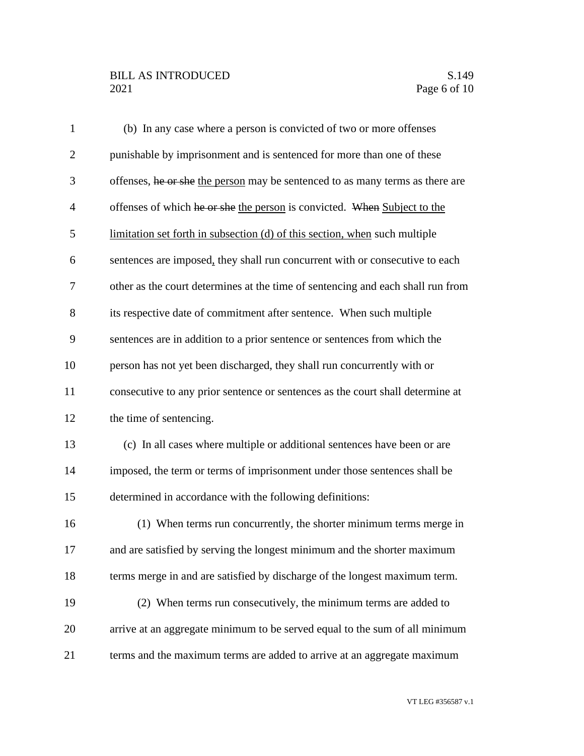## BILL AS INTRODUCED<br>2021 Page 6 of 10

| $\mathbf{1}$   | (b) In any case where a person is convicted of two or more offenses             |
|----------------|---------------------------------------------------------------------------------|
| $\overline{2}$ | punishable by imprisonment and is sentenced for more than one of these          |
| 3              | offenses, he or she the person may be sentenced to as many terms as there are   |
| $\overline{4}$ | offenses of which he or she the person is convicted. When Subject to the        |
| 5              | limitation set forth in subsection (d) of this section, when such multiple      |
| 6              | sentences are imposed, they shall run concurrent with or consecutive to each    |
| $\overline{7}$ | other as the court determines at the time of sentencing and each shall run from |
| 8              | its respective date of commitment after sentence. When such multiple            |
| 9              | sentences are in addition to a prior sentence or sentences from which the       |
| 10             | person has not yet been discharged, they shall run concurrently with or         |
| 11             | consecutive to any prior sentence or sentences as the court shall determine at  |
| 12             | the time of sentencing.                                                         |
| 13             | (c) In all cases where multiple or additional sentences have been or are        |
| 14             | imposed, the term or terms of imprisonment under those sentences shall be       |
| 15             | determined in accordance with the following definitions:                        |
| 16             | (1) When terms run concurrently, the shorter minimum terms merge in             |
| 17             | and are satisfied by serving the longest minimum and the shorter maximum        |
| 18             | terms merge in and are satisfied by discharge of the longest maximum term.      |
| 19             | (2) When terms run consecutively, the minimum terms are added to                |
| 20             | arrive at an aggregate minimum to be served equal to the sum of all minimum     |
| 21             | terms and the maximum terms are added to arrive at an aggregate maximum         |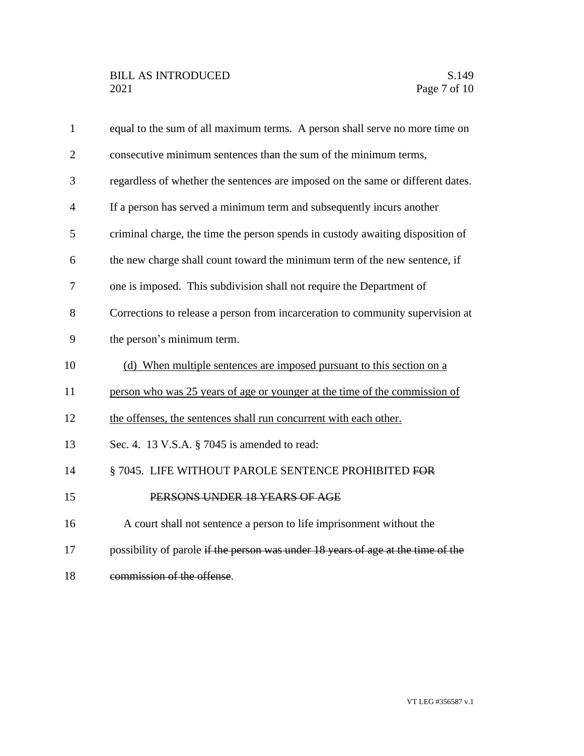| $\mathbf{1}$   | equal to the sum of all maximum terms. A person shall serve no more time on      |
|----------------|----------------------------------------------------------------------------------|
| $\overline{2}$ | consecutive minimum sentences than the sum of the minimum terms,                 |
| 3              | regardless of whether the sentences are imposed on the same or different dates.  |
| 4              | If a person has served a minimum term and subsequently incurs another            |
| 5              | criminal charge, the time the person spends in custody awaiting disposition of   |
| 6              | the new charge shall count toward the minimum term of the new sentence, if       |
| 7              | one is imposed. This subdivision shall not require the Department of             |
| 8              | Corrections to release a person from incarceration to community supervision at   |
| 9              | the person's minimum term.                                                       |
| 10             | (d) When multiple sentences are imposed pursuant to this section on a            |
| 11             | person who was 25 years of age or younger at the time of the commission of       |
| 12             | the offenses, the sentences shall run concurrent with each other.                |
| 13             | Sec. 4. 13 V.S.A. § 7045 is amended to read:                                     |
| 14             | §7045. LIFE WITHOUT PAROLE SENTENCE PROHIBITED FOR                               |
| 15             | PERSONS UNDER 18 YEARS OF AGE                                                    |
| 16             | A court shall not sentence a person to life imprisonment without the             |
| 17             | possibility of parole if the person was under 18 years of age at the time of the |
| 18             | commission of the offense.                                                       |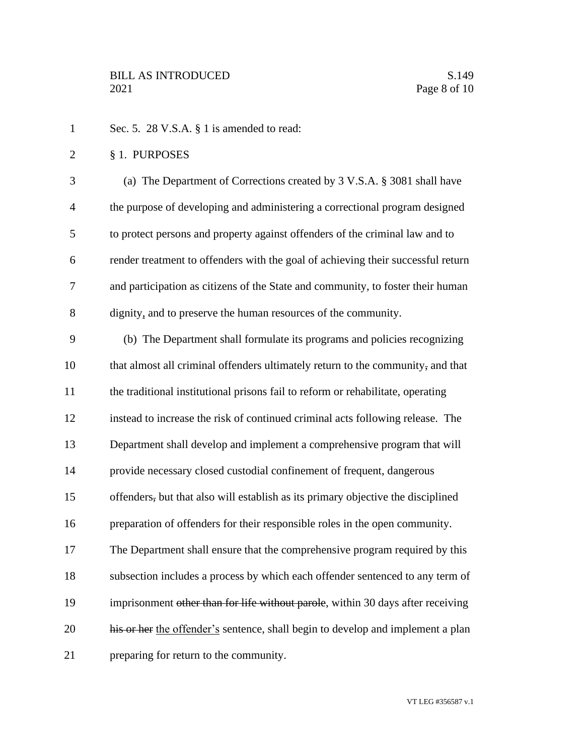- 1 Sec. 5. 28 V.S.A. § 1 is amended to read:
- § 1. PURPOSES

 (a) The Department of Corrections created by 3 V.S.A. § 3081 shall have the purpose of developing and administering a correctional program designed to protect persons and property against offenders of the criminal law and to render treatment to offenders with the goal of achieving their successful return and participation as citizens of the State and community, to foster their human dignity, and to preserve the human resources of the community.

 (b) The Department shall formulate its programs and policies recognizing 10 that almost all criminal offenders ultimately return to the community, and that the traditional institutional prisons fail to reform or rehabilitate, operating instead to increase the risk of continued criminal acts following release. The Department shall develop and implement a comprehensive program that will provide necessary closed custodial confinement of frequent, dangerous offenders, but that also will establish as its primary objective the disciplined preparation of offenders for their responsible roles in the open community. The Department shall ensure that the comprehensive program required by this subsection includes a process by which each offender sentenced to any term of 19 imprisonment other than for life without parole, within 30 days after receiving 20 his or her the offender's sentence, shall begin to develop and implement a plan preparing for return to the community.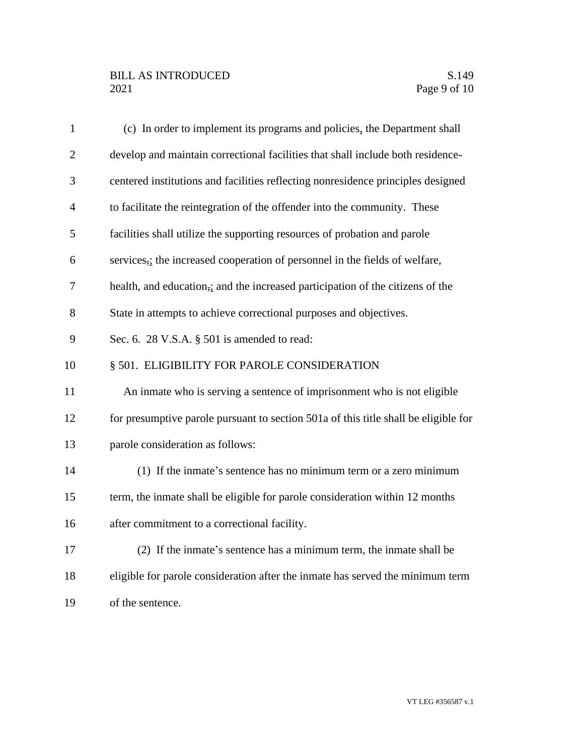| $\mathbf{1}$   | (c) In order to implement its programs and policies, the Department shall           |
|----------------|-------------------------------------------------------------------------------------|
| $\overline{2}$ | develop and maintain correctional facilities that shall include both residence-     |
| 3              | centered institutions and facilities reflecting nonresidence principles designed    |
| $\overline{4}$ | to facilitate the reintegration of the offender into the community. These           |
| 5              | facilities shall utilize the supporting resources of probation and parole           |
| 6              | services,; the increased cooperation of personnel in the fields of welfare,         |
| 7              | health, and education, and the increased participation of the citizens of the       |
| 8              | State in attempts to achieve correctional purposes and objectives.                  |
| 9              | Sec. 6. 28 V.S.A. § 501 is amended to read:                                         |
| 10             | § 501. ELIGIBILITY FOR PAROLE CONSIDERATION                                         |
| 11             | An inmate who is serving a sentence of imprisonment who is not eligible             |
| 12             | for presumptive parole pursuant to section 501a of this title shall be eligible for |
| 13             | parole consideration as follows:                                                    |
| 14             | (1) If the inmate's sentence has no minimum term or a zero minimum                  |
| 15             | term, the inmate shall be eligible for parole consideration within 12 months        |
| 16             | after commitment to a correctional facility.                                        |
| 17             | (2) If the inmate's sentence has a minimum term, the inmate shall be                |
| 18             | eligible for parole consideration after the inmate has served the minimum term      |
| 19             | of the sentence.                                                                    |